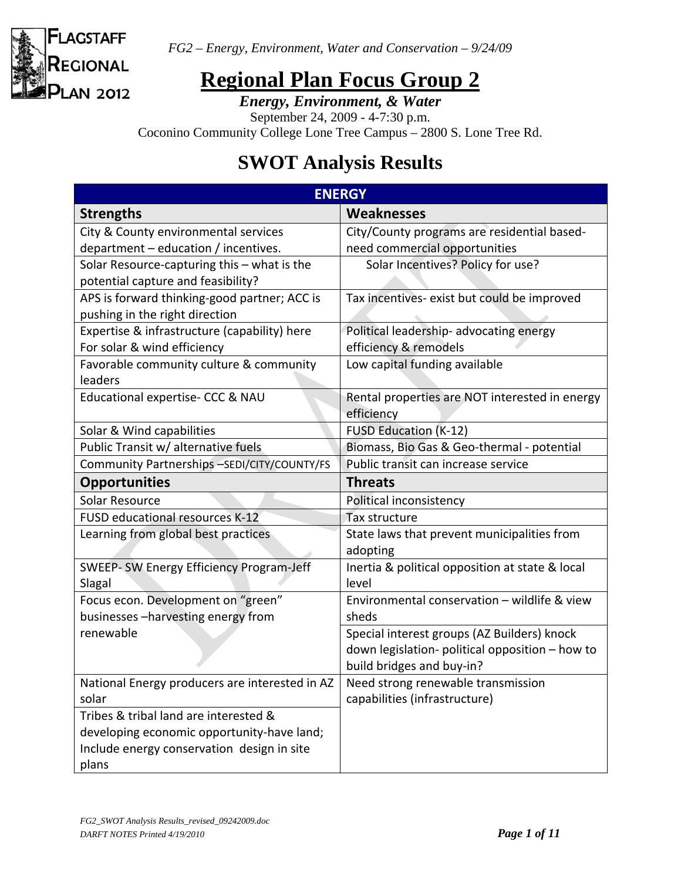

# **Regional Plan Focus Group 2**

*Energy, Environment, & Water* 

September 24, 2009 - 4-7:30 p.m.

Coconino Community College Lone Tree Campus – 2800 S. Lone Tree Rd.

# **SWOT Analysis Results**

| <b>ENERGY</b>                                     |                                                              |
|---------------------------------------------------|--------------------------------------------------------------|
| <b>Strengths</b>                                  | <b>Weaknesses</b>                                            |
| City & County environmental services              | City/County programs are residential based-                  |
| department - education / incentives.              | need commercial opportunities                                |
| Solar Resource-capturing this - what is the       | Solar Incentives? Policy for use?                            |
| potential capture and feasibility?                |                                                              |
| APS is forward thinking-good partner; ACC is      | Tax incentives- exist but could be improved                  |
| pushing in the right direction                    |                                                              |
| Expertise & infrastructure (capability) here      | Political leadership- advocating energy                      |
| For solar & wind efficiency                       | efficiency & remodels                                        |
| Favorable community culture & community           | Low capital funding available                                |
| leaders                                           |                                                              |
| Educational expertise- CCC & NAU                  | Rental properties are NOT interested in energy<br>efficiency |
| Solar & Wind capabilities                         | <b>FUSD Education (K-12)</b>                                 |
| Public Transit w/ alternative fuels               | Biomass, Bio Gas & Geo-thermal - potential                   |
| Community Partnerships -SEDI/CITY/COUNTY/FS       | Public transit can increase service                          |
| <b>Opportunities</b>                              | <b>Threats</b>                                               |
| Solar Resource                                    | Political inconsistency                                      |
| FUSD educational resources K-12                   | Tax structure                                                |
| Learning from global best practices               | State laws that prevent municipalities from<br>adopting      |
| SWEEP-SW Energy Efficiency Program-Jeff<br>Slagal | Inertia & political opposition at state & local<br>level     |
| Focus econ. Development on "green"                | Environmental conservation - wildlife & view                 |
| businesses-harvesting energy from                 | sheds                                                        |
| renewable                                         | Special interest groups (AZ Builders) knock                  |
|                                                   | down legislation- political opposition - how to              |
|                                                   | build bridges and buy-in?                                    |
| National Energy producers are interested in AZ    | Need strong renewable transmission                           |
| solar                                             | capabilities (infrastructure)                                |
| Tribes & tribal land are interested &             |                                                              |
| developing economic opportunity-have land;        |                                                              |
| Include energy conservation design in site        |                                                              |
| plans                                             |                                                              |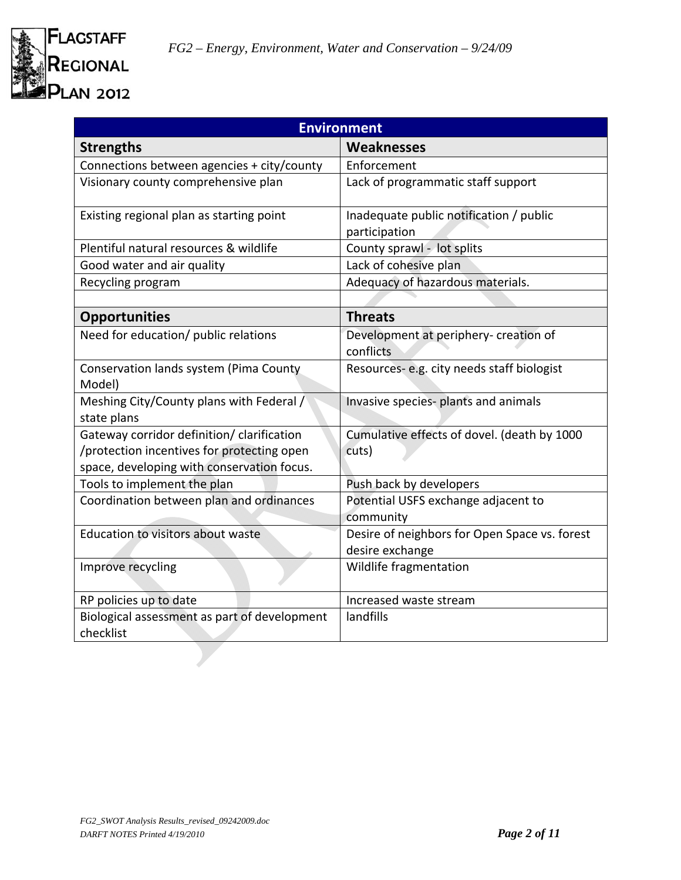

| <b>Environment</b>                                                                                                                     |                                                                  |  |
|----------------------------------------------------------------------------------------------------------------------------------------|------------------------------------------------------------------|--|
| <b>Strengths</b>                                                                                                                       | Weaknesses                                                       |  |
| Connections between agencies + city/county                                                                                             | Enforcement                                                      |  |
| Visionary county comprehensive plan                                                                                                    | Lack of programmatic staff support                               |  |
| Existing regional plan as starting point                                                                                               | Inadequate public notification / public<br>participation         |  |
| Plentiful natural resources & wildlife                                                                                                 | County sprawl - lot splits                                       |  |
| Good water and air quality                                                                                                             | Lack of cohesive plan                                            |  |
| Recycling program                                                                                                                      | Adequacy of hazardous materials.                                 |  |
|                                                                                                                                        |                                                                  |  |
| <b>Opportunities</b>                                                                                                                   | <b>Threats</b>                                                   |  |
| Need for education/ public relations                                                                                                   | Development at periphery- creation of<br>conflicts               |  |
| Conservation lands system (Pima County<br>Model)                                                                                       | Resources-e.g. city needs staff biologist                        |  |
| Meshing City/County plans with Federal /<br>state plans                                                                                | Invasive species- plants and animals                             |  |
| Gateway corridor definition/ clarification<br>/protection incentives for protecting open<br>space, developing with conservation focus. | Cumulative effects of dovel. (death by 1000<br>cuts)             |  |
| Tools to implement the plan                                                                                                            | Push back by developers                                          |  |
| Coordination between plan and ordinances                                                                                               | Potential USFS exchange adjacent to<br>community                 |  |
| <b>Education to visitors about waste</b>                                                                                               | Desire of neighbors for Open Space vs. forest<br>desire exchange |  |
| Improve recycling                                                                                                                      | Wildlife fragmentation                                           |  |
| RP policies up to date                                                                                                                 | Increased waste stream                                           |  |
| Biological assessment as part of development<br>checklist                                                                              | landfills                                                        |  |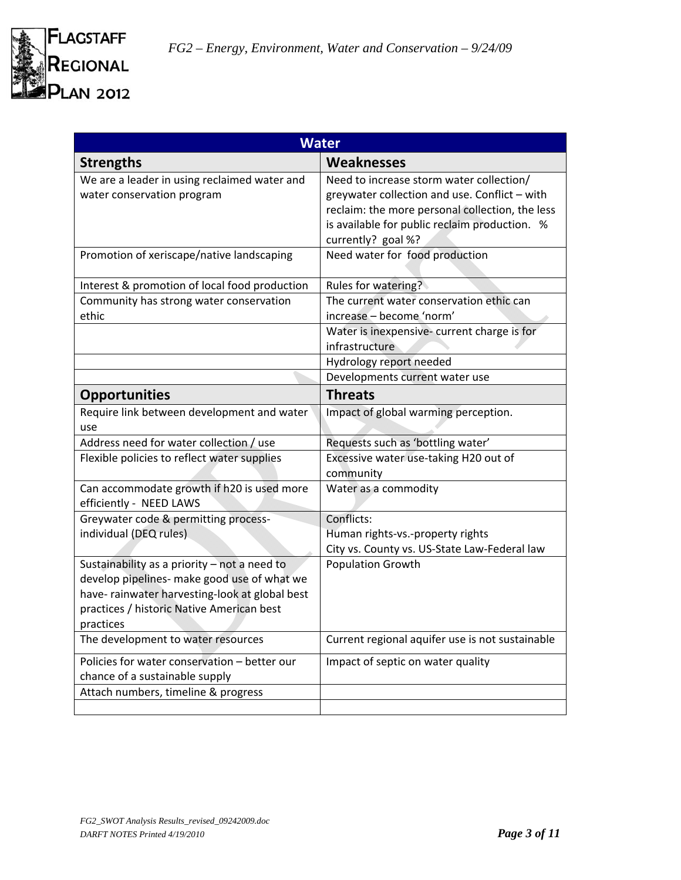

| <b>Water</b>                                                                   |                                                                                           |
|--------------------------------------------------------------------------------|-------------------------------------------------------------------------------------------|
| <b>Strengths</b>                                                               | <b>Weaknesses</b>                                                                         |
| We are a leader in using reclaimed water and<br>water conservation program     | Need to increase storm water collection/<br>greywater collection and use. Conflict - with |
|                                                                                | reclaim: the more personal collection, the less                                           |
|                                                                                | is available for public reclaim production. %                                             |
|                                                                                | currently? goal %?                                                                        |
| Promotion of xeriscape/native landscaping                                      | Need water for food production                                                            |
| Interest & promotion of local food production                                  | Rules for watering?                                                                       |
| Community has strong water conservation                                        | The current water conservation ethic can                                                  |
| ethic                                                                          | increase - become 'norm'                                                                  |
|                                                                                | Water is inexpensive- current charge is for<br>infrastructure                             |
|                                                                                | Hydrology report needed                                                                   |
|                                                                                | Developments current water use                                                            |
| <b>Opportunities</b>                                                           | <b>Threats</b>                                                                            |
| Require link between development and water<br>use                              | Impact of global warming perception.                                                      |
| Address need for water collection / use                                        | Requests such as 'bottling water'                                                         |
| Flexible policies to reflect water supplies                                    | Excessive water use-taking H20 out of<br>community                                        |
| Can accommodate growth if h20 is used more<br>efficiently - NEED LAWS          | Water as a commodity                                                                      |
| Greywater code & permitting process-                                           | Conflicts:                                                                                |
| individual (DEQ rules)                                                         | Human rights-vs.-property rights                                                          |
|                                                                                | City vs. County vs. US-State Law-Federal law                                              |
| Sustainability as a priority - not a need to                                   | <b>Population Growth</b>                                                                  |
| develop pipelines- make good use of what we                                    |                                                                                           |
| have- rainwater harvesting-look at global best                                 |                                                                                           |
| practices / historic Native American best                                      |                                                                                           |
| practices                                                                      | Current regional aquifer use is not sustainable                                           |
| The development to water resources                                             |                                                                                           |
| Policies for water conservation - better our<br>chance of a sustainable supply | Impact of septic on water quality                                                         |
| Attach numbers, timeline & progress                                            |                                                                                           |
|                                                                                |                                                                                           |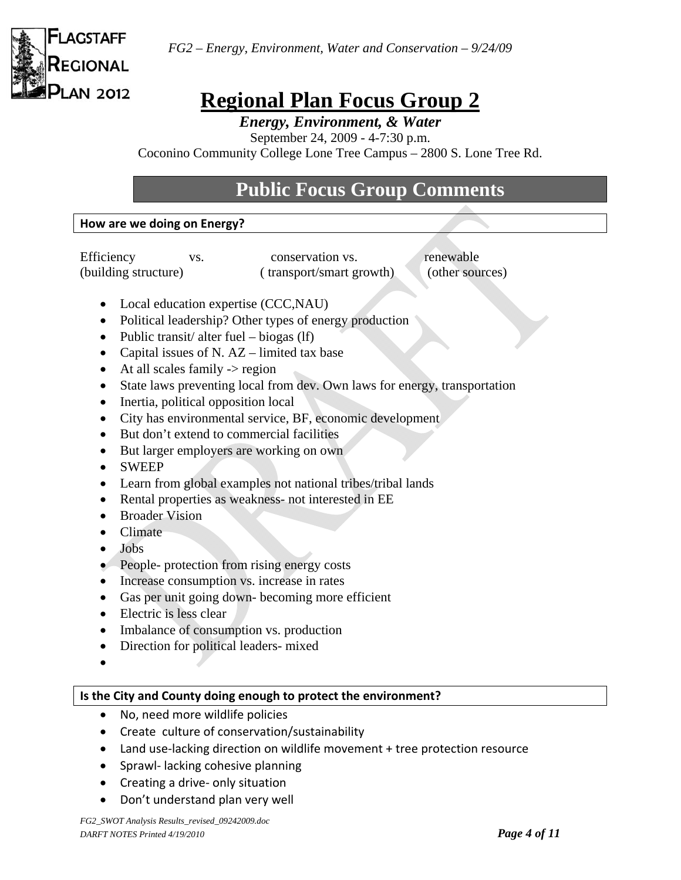

# **Regional Plan Focus Group 2**

*Energy, Environment, & Water* 

September 24, 2009 - 4-7:30 p.m.

Coconino Community College Lone Tree Campus – 2800 S. Lone Tree Rd.

# **Public Focus Group Comments**

#### **How are we doing on Energy?**

Efficiency vs. conservation vs. renewable (building structure) ( transport/smart growth) (other sources)

- Local education expertise (CCC,NAU)
- Political leadership? Other types of energy production
- Public transit/ alter fuel biogas  $(1f)$
- Capital issues of N.  $AZ$  limited tax base
- $\bullet$  At all scales family  $\rightarrow$  region
- State laws preventing local from dev. Own laws for energy, transportation
- Inertia, political opposition local
- City has environmental service, BF, economic development
- But don't extend to commercial facilities
- But larger employers are working on own
- SWEEP
- Learn from global examples not national tribes/tribal lands
- Rental properties as weakness- not interested in EE
- Broader Vision
- Climate
- Jobs
- People- protection from rising energy costs
- Increase consumption vs. increase in rates
- Gas per unit going down- becoming more efficient
- Electric is less clear
- Imbalance of consumption vs. production
- Direction for political leaders- mixed
- $\bullet$

### **Is the City and County doing enough to protect the environment?**

- No, need more wildlife policies
- Create culture of conservation/sustainability
- Land use-lacking direction on wildlife movement + tree protection resource
- Sprawl- lacking cohesive planning
- Creating a drive- only situation
- Don't understand plan very well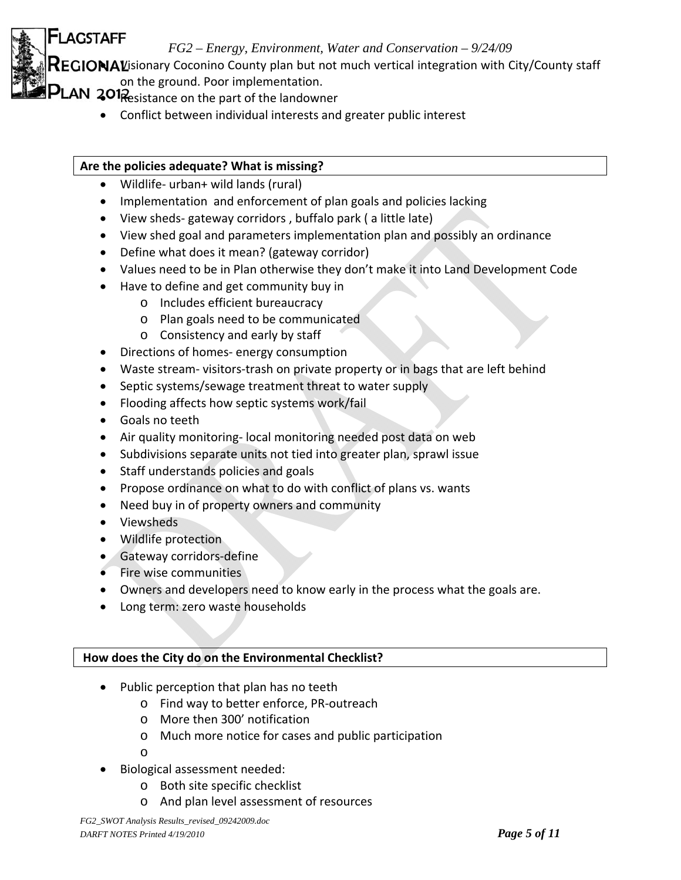$\mathsf{FGIONAL}$  isionary Coconino County plan but not much vertical integration with City/County staff on the ground. Poor implementation.

**FLAGSTAFF** 

- $PLAN$  201 $\frac{201}{R}$ esistance on the part of the landowner
	- Conflict between individual interests and greater public interest

## **Are the policies adequate? What is missing?**

- Wildlife- urban+ wild lands (rural)
- Implementation and enforcement of plan goals and policies lacking
- View sheds-gateway corridors, buffalo park (a little late)
- View shed goal and parameters implementation plan and possibly an ordinance
- Define what does it mean? (gateway corridor)
- Values need to be in Plan otherwise they don't make it into Land Development Code
- Have to define and get community buy in
	- o Includes efficient bureaucracy
	- o Plan goals need to be communicated
	- o Consistency and early by staff
- Directions of homes-energy consumption
- Waste stream-visitors-trash on private property or in bags that are left behind
- Septic systems/sewage treatment threat to water supply
- Flooding affects how septic systems work/fail
- Goals no teeth
- Air quality monitoring-local monitoring needed post data on web
- Subdivisions separate units not tied into greater plan, sprawl issue
- Staff understands policies and goals
- Propose ordinance on what to do with conflict of plans vs. wants
- Need buy in of property owners and community
- Viewsheds
- Wildlife protection
- Gateway corridors-define
- Fire wise communities
- Owners and developers need to know early in the process what the goals are.
- Long term: zero waste households

## **How does the City do on the Environmental Checklist?**

- Public perception that plan has no teeth
	- o Find way to better enforce, PR‐outreach
	- o More then 300' notification
	- o Much more notice for cases and public participation
	- o
- Biological assessment needed:
	- o Both site specific checklist
	- o And plan level assessment of resources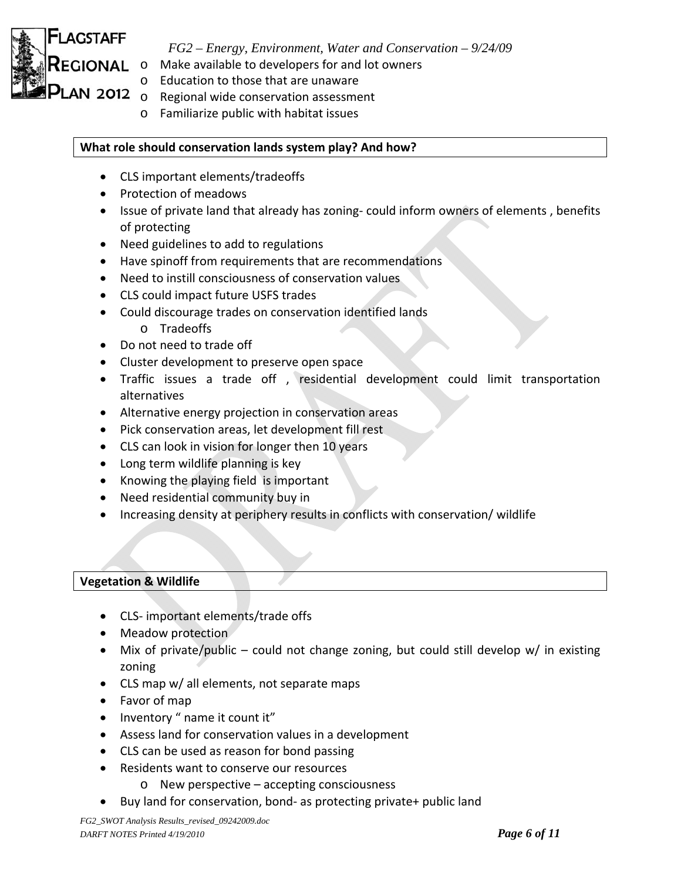

- *FG2 Energy, Environment, Water and Conservation 9/24/09*
- o Make available to developers for and lot owners
- o Education to those that are unaware
- **LAN 2012**  $\frac{20!}{\circ}$  Regional wide conservation assessment
	- o Familiarize public with habitat issues

### **What role should conservation lands system play? And how?**

- CLS important elements/tradeoffs
- Protection of meadows
- Issue of private land that already has zoning- could inform owners of elements, benefits of protecting
- Need guidelines to add to regulations
- Have spinoff from requirements that are recommendations
- Need to instill consciousness of conservation values
- CLS could impact future USFS trades
- Could discourage trades on conservation identified lands
	- o Tradeoffs
- Do not need to trade off
- Cluster development to preserve open space
- Traffic issues a trade off , residential development could limit transportation alternatives
- Alternative energy projection in conservation areas
- Pick conservation areas, let development fill rest
- CLS can look in vision for longer then 10 years
- Long term wildlife planning is key
- Knowing the playing field is important
- Need residential community buy in
- Increasing density at periphery results in conflicts with conservation/ wildlife

#### **Vegetation & Wildlife**

- CLS‐ important elements/trade offs
- Meadow protection
- Mix of private/public could not change zoning, but could still develop w/ in existing zoning
- CLS map w/ all elements, not separate maps
- Favor of map
- Inventory " name it count it"
- Assess land for conservation values in a development
- CLS can be used as reason for bond passing
- Residents want to conserve our resources
	- o New perspective accepting consciousness
- Buy land for conservation, bond- as protecting private+ public land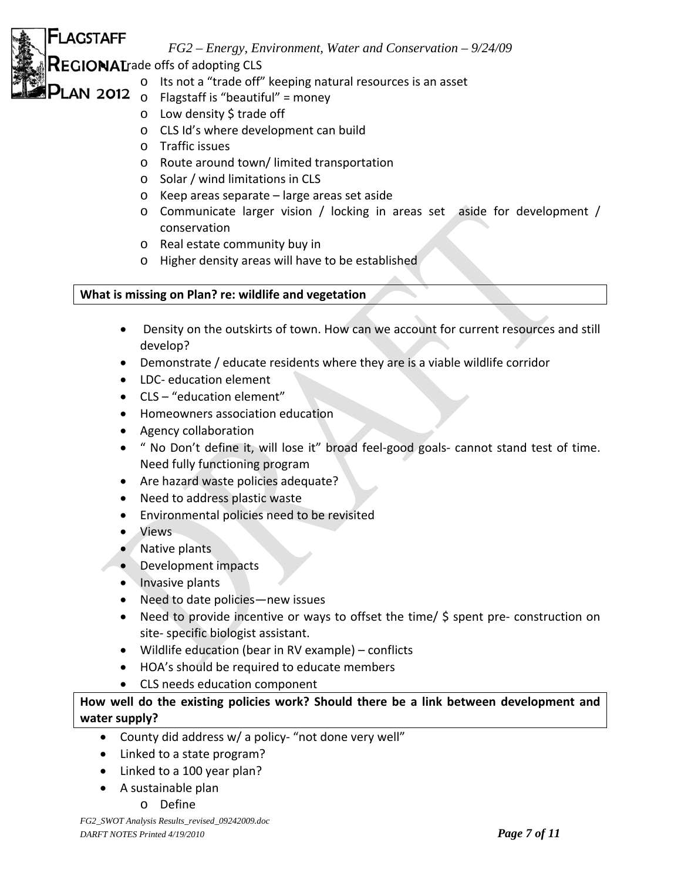**EGIONAL** rade offs of adopting CLS

**FLAGSTAFF** 

**LAN 2012** 

- o Its not a "trade off" keeping natural resources is an asset
- o Flagstaff is "beautiful" = money
- o Low density \$ trade off
- o CLS Id's where development can build
- o Traffic issues
- o Route around town/ limited transportation
- o Solar / wind limitations in CLS
- o Keep areas separate large areas set aside
- o Communicate larger vision / locking in areas set aside for development / conservation
- o Real estate community buy in
- o Higher density areas will have to be established

## **What is missing on Plan? re: wildlife and vegetation**

- Density on the outskirts of town. How can we account for current resources and still develop?
- Demonstrate / educate residents where they are is a viable wildlife corridor
- LDC- education element
- CLS "education element"
- Homeowners association education
- Agency collaboration
- " No Don't define it, will lose it" broad feel-good goals- cannot stand test of time. Need fully functioning program
- Are hazard waste policies adequate?
- Need to address plastic waste
- Environmental policies need to be revisited
- Views
- Native plants
- Development impacts
- Invasive plants
- Need to date policies—new issues
- Need to provide incentive or ways to offset the time/ \$ spent pre- construction on site‐ specific biologist assistant.
- Wildlife education (bear in RV example) conflicts
- HOA's should be required to educate members
- CLS needs education component

### **How well do the existing policies work? Should there be a link between development and water supply?**

- County did address w/ a policy‐ "not done very well"
- Linked to a state program?
- Linked to a 100 year plan?
- A sustainable plan
	- o Define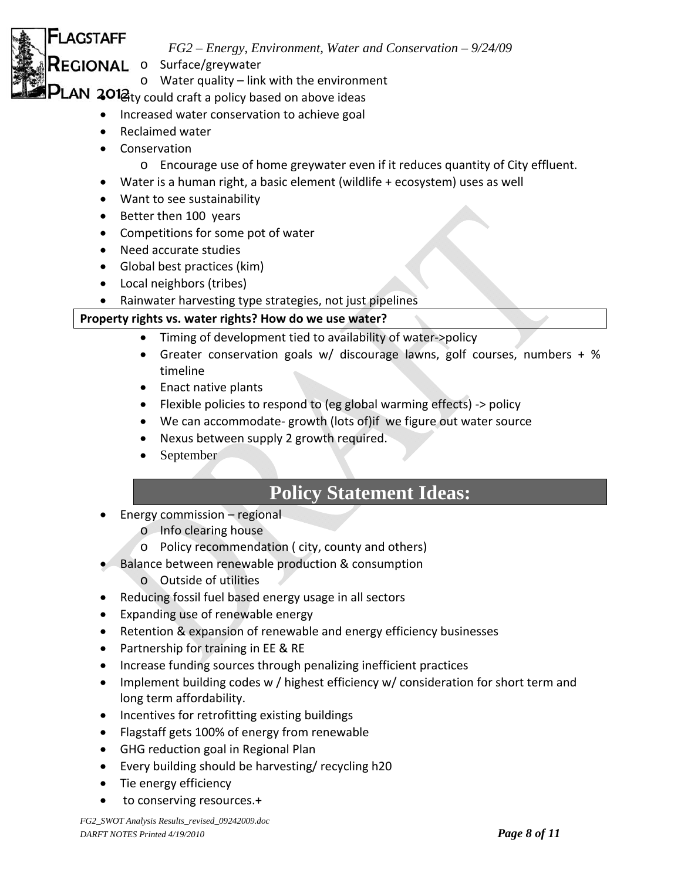- o Surface/greywater *EGIONAL* 
	- o Water quality link with the environment

**PLAN 2012**  $_{\text{cty}}$  could craft a policy based on above ideas

- Increased water conservation to achieve goal
- Reclaimed water
- Conservation

**-LAGSTAFF** 

- o Encourage use of home greywater even if it reduces quantity of City effluent.
- Water is a human right, a basic element (wildlife + ecosystem) uses as well
- Want to see sustainability
- Better then 100 years
- Competitions for some pot of water
- Need accurate studies
- Global best practices (kim)
- Local neighbors (tribes)
- Rainwater harvesting type strategies, not just pipelines

## **Property rights vs. water rights? How do we use water?**

- Timing of development tied to availability of water->policy
- Greater conservation goals w/ discourage lawns, golf courses, numbers + % timeline
- Enact native plants
- Flexible policies to respond to (eg global warming effects) ‐> policy
- We can accommodate-growth (lots of)if we figure out water source
- Nexus between supply 2 growth required.
- September

# **Policy Statement Ideas:**

- Energy commission regional
	- o Info clearing house
	- o Policy recommendation ( city, county and others)
- Balance between renewable production & consumption
	- o Outside of utilities
- Reducing fossil fuel based energy usage in all sectors
- Expanding use of renewable energy
- Retention & expansion of renewable and energy efficiency businesses
- Partnership for training in EE & RE
- Increase funding sources through penalizing inefficient practices
- Implement building codes w / highest efficiency w/ consideration for short term and long term affordability.
- Incentives for retrofitting existing buildings
- Flagstaff gets 100% of energy from renewable
- GHG reduction goal in Regional Plan
- Every building should be harvesting/ recycling h20
- Tie energy efficiency
- to conserving resources.+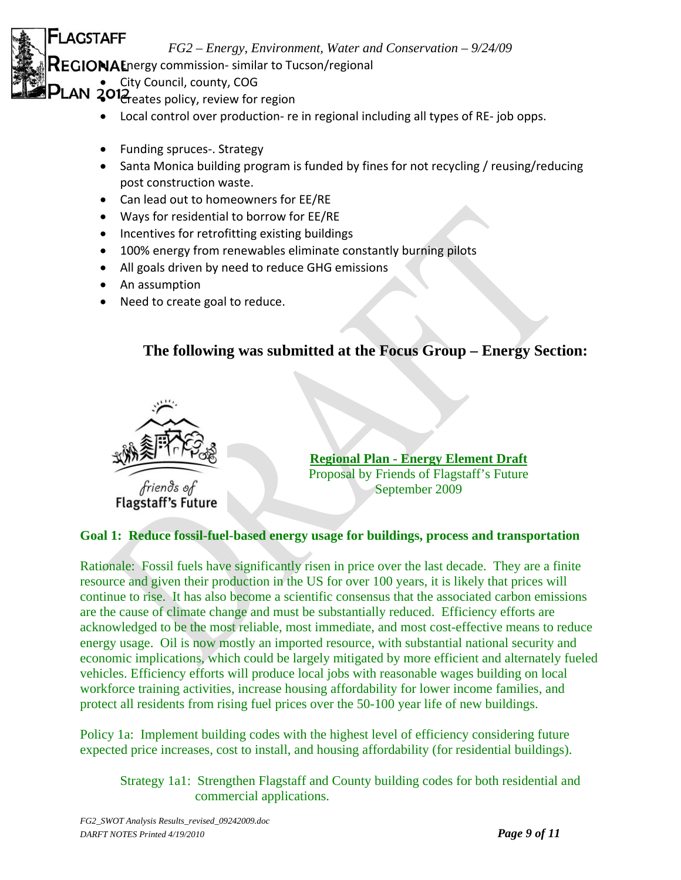$EGIONA$  Energy commission-similar to Tucson/regional

• City Council, county, COG

**LAGSTAFF** 

- $\sum_{\text{LAN}}$   $\sum_{\text{eates policy, review}}$  for region
	- Local control over production‐ re in regional including all types of RE‐ job opps.
	- Funding spruces-. Strategy
	- Santa Monica building program is funded by fines for not recycling / reusing/reducing post construction waste.
	- Can lead out to homeowners for EE/RE
	- Ways for residential to borrow for EE/RE
	- Incentives for retrofitting existing buildings
	- 100% energy from renewables eliminate constantly burning pilots
	- All goals driven by need to reduce GHG emissions
	- An assumption
	- Need to create goal to reduce.

# **The following was submitted at the Focus Group – Energy Section:**



**Regional Plan - Energy Element Draft** Proposal by Friends of Flagstaff's Future September 2009

## **Goal 1: Reduce fossil-fuel-based energy usage for buildings, process and transportation**

Rationale: Fossil fuels have significantly risen in price over the last decade. They are a finite resource and given their production in the US for over 100 years, it is likely that prices will continue to rise. It has also become a scientific consensus that the associated carbon emissions are the cause of climate change and must be substantially reduced. Efficiency efforts are acknowledged to be the most reliable, most immediate, and most cost-effective means to reduce energy usage. Oil is now mostly an imported resource, with substantial national security and economic implications, which could be largely mitigated by more efficient and alternately fueled vehicles. Efficiency efforts will produce local jobs with reasonable wages building on local workforce training activities, increase housing affordability for lower income families, and protect all residents from rising fuel prices over the 50-100 year life of new buildings.

Policy 1a: Implement building codes with the highest level of efficiency considering future expected price increases, cost to install, and housing affordability (for residential buildings).

 Strategy 1a1: Strengthen Flagstaff and County building codes for both residential and commercial applications.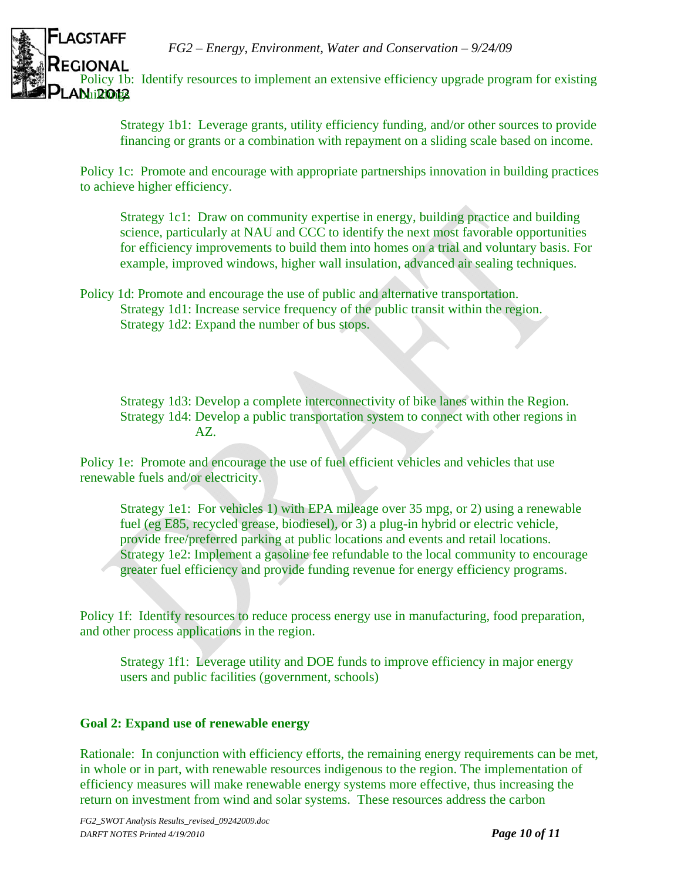

Policy 1b: Identify resources to implement an extensive efficiency upgrade program for existing

Strategy 1b1: Leverage grants, utility efficiency funding, and/or other sources to provide financing or grants or a combination with repayment on a sliding scale based on income.

Policy 1c: Promote and encourage with appropriate partnerships innovation in building practices to achieve higher efficiency.

Strategy 1c1: Draw on community expertise in energy, building practice and building science, particularly at NAU and CCC to identify the next most favorable opportunities for efficiency improvements to build them into homes on a trial and voluntary basis. For example, improved windows, higher wall insulation, advanced air sealing techniques.

Policy 1d: Promote and encourage the use of public and alternative transportation. Strategy 1d1: Increase service frequency of the public transit within the region. Strategy 1d2: Expand the number of bus stops.

Strategy 1d3: Develop a complete interconnectivity of bike lanes within the Region. Strategy 1d4: Develop a public transportation system to connect with other regions in AZ.

Policy 1e: Promote and encourage the use of fuel efficient vehicles and vehicles that use renewable fuels and/or electricity.

Strategy 1e1: For vehicles 1) with EPA mileage over 35 mpg, or 2) using a renewable fuel (eg E85, recycled grease, biodiesel), or 3) a plug-in hybrid or electric vehicle, provide free/preferred parking at public locations and events and retail locations. Strategy 1e2: Implement a gasoline fee refundable to the local community to encourage greater fuel efficiency and provide funding revenue for energy efficiency programs.

Policy 1f: Identify resources to reduce process energy use in manufacturing, food preparation, and other process applications in the region.

Strategy 1f1: Leverage utility and DOE funds to improve efficiency in major energy users and public facilities (government, schools)

### **Goal 2: Expand use of renewable energy**

Rationale: In conjunction with efficiency efforts, the remaining energy requirements can be met, in whole or in part, with renewable resources indigenous to the region. The implementation of efficiency measures will make renewable energy systems more effective, thus increasing the return on investment from wind and solar systems. These resources address the carbon